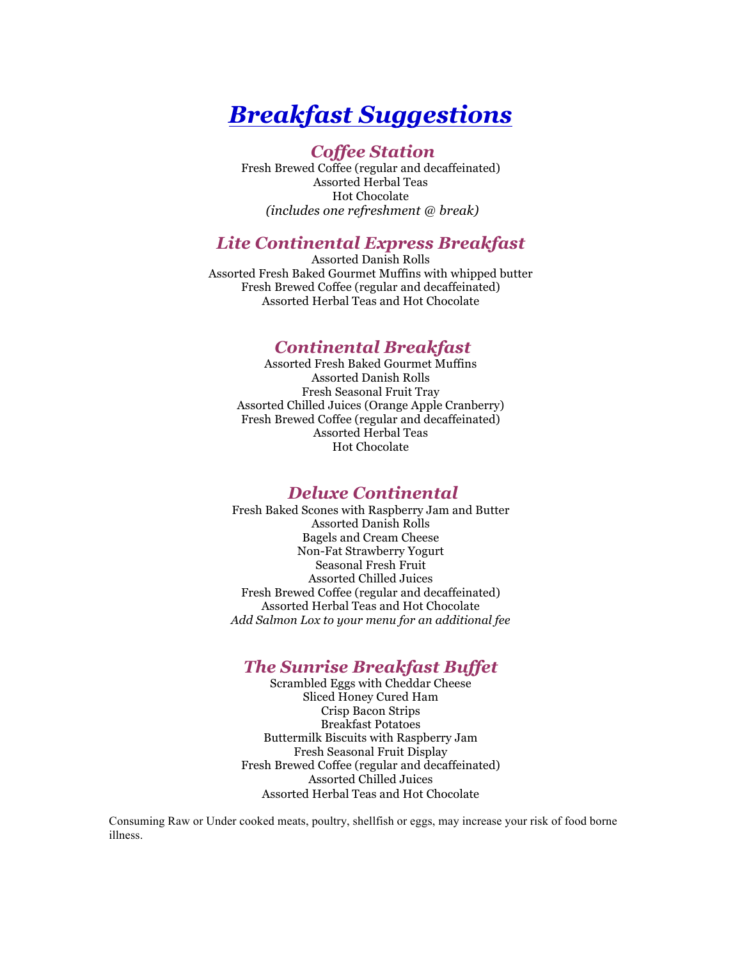# *Breakfast Suggestions*

## *Coffee Station*

Fresh Brewed Coffee (regular and decaffeinated) Assorted Herbal Teas Hot Chocolate *(includes one refreshment @ break)*

## *Lite Continental Express Breakfast*

Assorted Danish Rolls Assorted Fresh Baked Gourmet Muffins with whipped butter Fresh Brewed Coffee (regular and decaffeinated) Assorted Herbal Teas and Hot Chocolate

## *Continental Breakfast*

Assorted Fresh Baked Gourmet Muffins Assorted Danish Rolls Fresh Seasonal Fruit Tray Assorted Chilled Juices (Orange Apple Cranberry) Fresh Brewed Coffee (regular and decaffeinated) Assorted Herbal Teas Hot Chocolate

## *Deluxe Continental*

Fresh Baked Scones with Raspberry Jam and Butter Assorted Danish Rolls Bagels and Cream Cheese Non-Fat Strawberry Yogurt Seasonal Fresh Fruit Assorted Chilled Juices Fresh Brewed Coffee (regular and decaffeinated) Assorted Herbal Teas and Hot Chocolate *Add Salmon Lox to your menu for an additional fee*

## *The Sunrise Breakfast Buffet*

Scrambled Eggs with Cheddar Cheese Sliced Honey Cured Ham Crisp Bacon Strips Breakfast Potatoes Buttermilk Biscuits with Raspberry Jam Fresh Seasonal Fruit Display Fresh Brewed Coffee (regular and decaffeinated) Assorted Chilled Juices Assorted Herbal Teas and Hot Chocolate

Consuming Raw or Under cooked meats, poultry, shellfish or eggs, may increase your risk of food borne illness.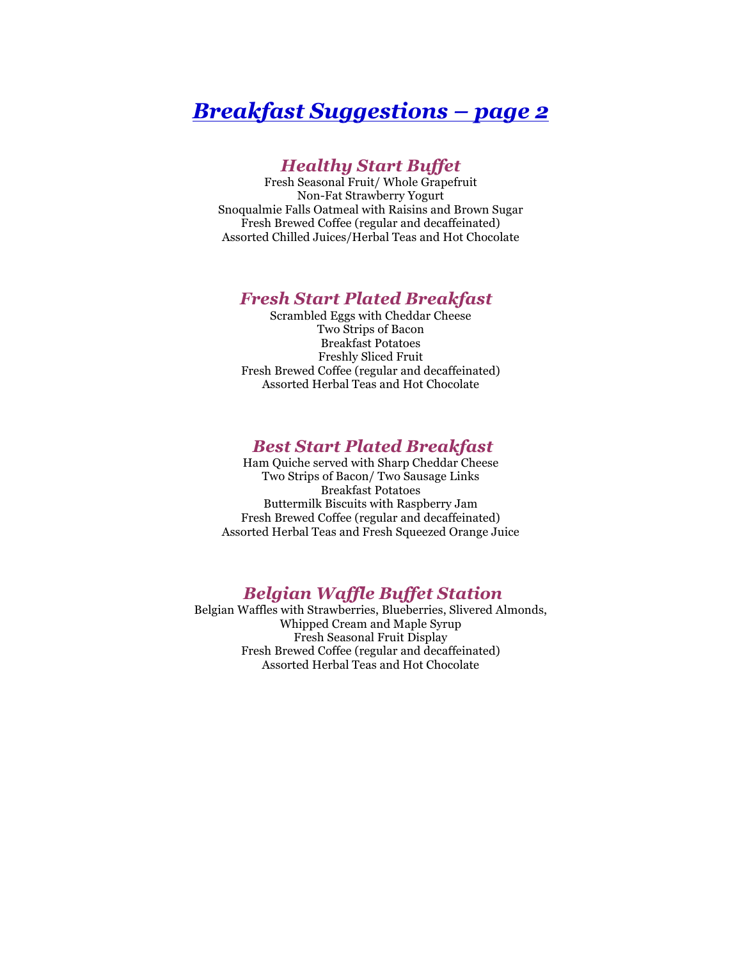## *Breakfast Suggestions – page 2*

## *Healthy Start Buffet*

Fresh Seasonal Fruit/ Whole Grapefruit Non-Fat Strawberry Yogurt Snoqualmie Falls Oatmeal with Raisins and Brown Sugar Fresh Brewed Coffee (regular and decaffeinated) Assorted Chilled Juices/Herbal Teas and Hot Chocolate

### *Fresh Start Plated Breakfast*

Scrambled Eggs with Cheddar Cheese Two Strips of Bacon Breakfast Potatoes Freshly Sliced Fruit Fresh Brewed Coffee (regular and decaffeinated) Assorted Herbal Teas and Hot Chocolate

### *Best Start Plated Breakfast*

Ham Quiche served with Sharp Cheddar Cheese Two Strips of Bacon/ Two Sausage Links Breakfast Potatoes Buttermilk Biscuits with Raspberry Jam Fresh Brewed Coffee (regular and decaffeinated) Assorted Herbal Teas and Fresh Squeezed Orange Juice

## *Belgian Waffle Buffet Station*

Belgian Waffles with Strawberries, Blueberries, Slivered Almonds, Whipped Cream and Maple Syrup Fresh Seasonal Fruit Display Fresh Brewed Coffee (regular and decaffeinated) Assorted Herbal Teas and Hot Chocolate